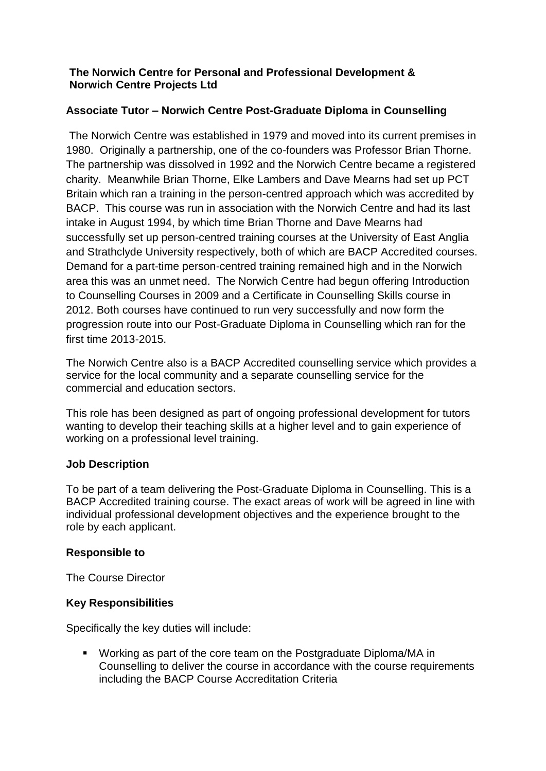## **The Norwich Centre for Personal and Professional Development & Norwich Centre Projects Ltd**

## **Associate Tutor – Norwich Centre Post-Graduate Diploma in Counselling**

The Norwich Centre was established in 1979 and moved into its current premises in 1980. Originally a partnership, one of the co-founders was Professor Brian Thorne. The partnership was dissolved in 1992 and the Norwich Centre became a registered charity. Meanwhile Brian Thorne, Elke Lambers and Dave Mearns had set up PCT Britain which ran a training in the person-centred approach which was accredited by BACP. This course was run in association with the Norwich Centre and had its last intake in August 1994, by which time Brian Thorne and Dave Mearns had successfully set up person-centred training courses at the University of East Anglia and Strathclyde University respectively, both of which are BACP Accredited courses. Demand for a part-time person-centred training remained high and in the Norwich area this was an unmet need. The Norwich Centre had begun offering Introduction to Counselling Courses in 2009 and a Certificate in Counselling Skills course in 2012. Both courses have continued to run very successfully and now form the progression route into our Post-Graduate Diploma in Counselling which ran for the first time 2013-2015.

The Norwich Centre also is a BACP Accredited counselling service which provides a service for the local community and a separate counselling service for the commercial and education sectors.

This role has been designed as part of ongoing professional development for tutors wanting to develop their teaching skills at a higher level and to gain experience of working on a professional level training.

### **Job Description**

To be part of a team delivering the Post-Graduate Diploma in Counselling. This is a BACP Accredited training course. The exact areas of work will be agreed in line with individual professional development objectives and the experience brought to the role by each applicant.

#### **Responsible to**

The Course Director

#### **Key Responsibilities**

Specifically the key duties will include:

■ Working as part of the core team on the Postgraduate Diploma/MA in Counselling to deliver the course in accordance with the course requirements including the BACP Course Accreditation Criteria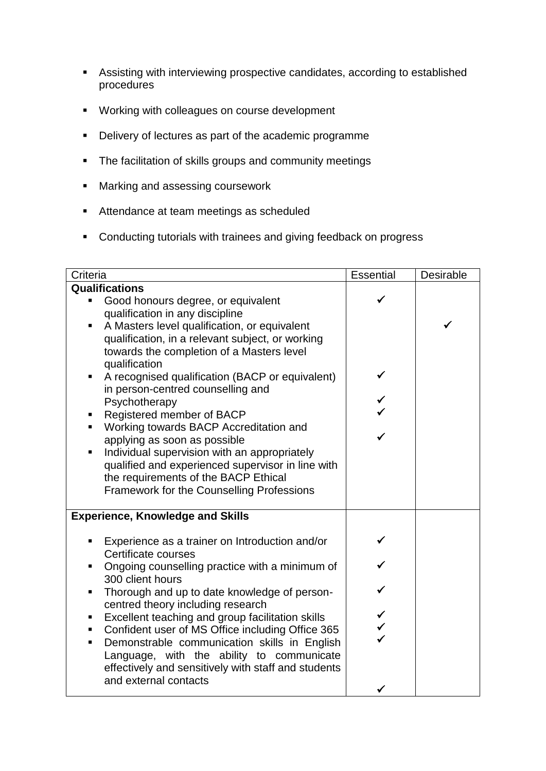- Assisting with interviewing prospective candidates, according to established procedures
- Working with colleagues on course development
- Delivery of lectures as part of the academic programme
- **•** The facilitation of skills groups and community meetings
- Marking and assessing coursework
- Attendance at team meetings as scheduled
- Conducting tutorials with trainees and giving feedback on progress

| Criteria                                                                               | Essential | Desirable |
|----------------------------------------------------------------------------------------|-----------|-----------|
| <b>Qualifications</b>                                                                  |           |           |
| Good honours degree, or equivalent<br>٠                                                |           |           |
| qualification in any discipline                                                        |           |           |
| A Masters level qualification, or equivalent<br>٠                                      |           |           |
| qualification, in a relevant subject, or working                                       |           |           |
| towards the completion of a Masters level                                              |           |           |
| qualification                                                                          |           |           |
| A recognised qualification (BACP or equivalent)                                        |           |           |
| in person-centred counselling and                                                      |           |           |
| Psychotherapy                                                                          |           |           |
| Registered member of BACP                                                              |           |           |
| Working towards BACP Accreditation and<br>π.                                           |           |           |
| applying as soon as possible                                                           |           |           |
| Individual supervision with an appropriately<br>٠                                      |           |           |
| qualified and experienced supervisor in line with                                      |           |           |
| the requirements of the BACP Ethical                                                   |           |           |
| <b>Framework for the Counselling Professions</b>                                       |           |           |
|                                                                                        |           |           |
| <b>Experience, Knowledge and Skills</b>                                                |           |           |
| Experience as a trainer on Introduction and/or<br>٠                                    |           |           |
| Certificate courses                                                                    |           |           |
| Ongoing counselling practice with a minimum of                                         |           |           |
| 300 client hours                                                                       |           |           |
| Thorough and up to date knowledge of person-<br>٠<br>centred theory including research |           |           |
| Excellent teaching and group facilitation skills<br>п                                  |           |           |
| Confident user of MS Office including Office 365<br>п                                  |           |           |
| Demonstrable communication skills in English<br>٠                                      |           |           |
| Language, with the ability to communicate                                              |           |           |
| effectively and sensitively with staff and students                                    |           |           |
| and external contacts                                                                  |           |           |
|                                                                                        |           |           |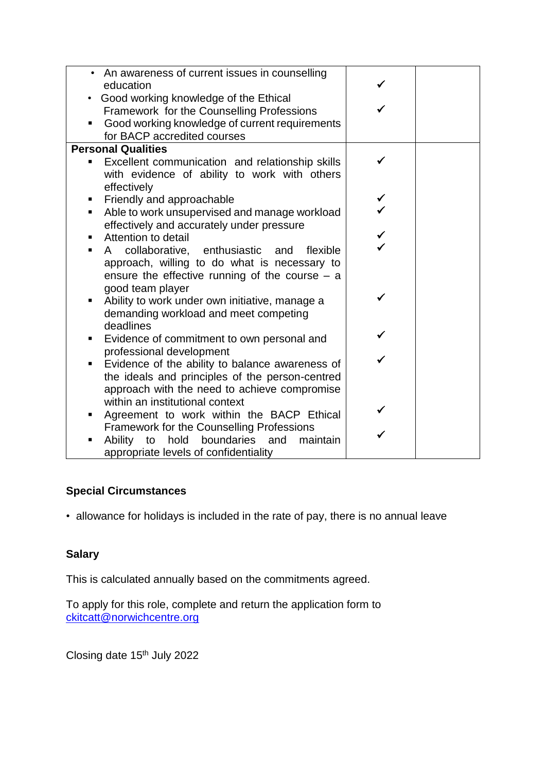| • An awareness of current issues in counselling      |  |
|------------------------------------------------------|--|
| education                                            |  |
| Good working knowledge of the Ethical                |  |
| Framework for the Counselling Professions            |  |
| Good working knowledge of current requirements       |  |
| for BACP accredited courses                          |  |
| <b>Personal Qualities</b>                            |  |
| Excellent communication and relationship skills<br>П |  |
| with evidence of ability to work with others         |  |
| effectively                                          |  |
| Friendly and approachable<br>п                       |  |
| Able to work unsupervised and manage workload<br>٠   |  |
| effectively and accurately under pressure            |  |
| Attention to detail<br>٠                             |  |
| A collaborative, enthusiastic and<br>flexible        |  |
| approach, willing to do what is necessary to         |  |
| ensure the effective running of the course $-$ a     |  |
| good team player                                     |  |
| Ability to work under own initiative, manage a<br>٠  |  |
| demanding workload and meet competing                |  |
| deadlines                                            |  |
| Evidence of commitment to own personal and<br>٠      |  |
| professional development                             |  |
| Evidence of the ability to balance awareness of<br>п |  |
| the ideals and principles of the person-centred      |  |
| approach with the need to achieve compromise         |  |
| within an institutional context                      |  |
| Agreement to work within the BACP Ethical<br>٠       |  |
| <b>Framework for the Counselling Professions</b>     |  |
| Ability to hold boundaries<br>and<br>maintain        |  |
| appropriate levels of confidentiality                |  |

# **Special Circumstances**

• allowance for holidays is included in the rate of pay, there is no annual leave

## **Salary**

This is calculated annually based on the commitments agreed.

To apply for this role, complete and return the application form to [ckitcatt@norwichcentre.org](mailto:ckitcatt@norwichcentre.org)

Closing date 15th July 2022